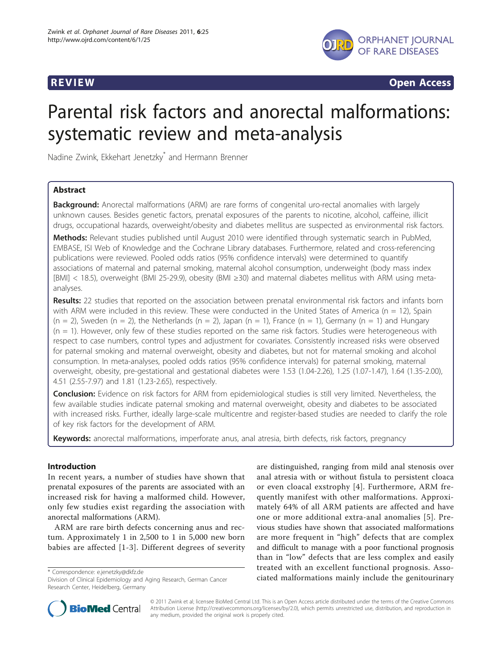

# Parental risk factors and anorectal malformations: systematic review and meta-analysis

Nadine Zwink, Ekkehart Jenetzky\* and Hermann Brenner

## Abstract

**Background:** Anorectal malformations (ARM) are rare forms of congenital uro-rectal anomalies with largely unknown causes. Besides genetic factors, prenatal exposures of the parents to nicotine, alcohol, caffeine, illicit drugs, occupational hazards, overweight/obesity and diabetes mellitus are suspected as environmental risk factors.

Methods: Relevant studies published until August 2010 were identified through systematic search in PubMed, EMBASE, ISI Web of Knowledge and the Cochrane Library databases. Furthermore, related and cross-referencing publications were reviewed. Pooled odds ratios (95% confidence intervals) were determined to quantify associations of maternal and paternal smoking, maternal alcohol consumption, underweight (body mass index [BMI] < 18.5), overweight (BMI 25-29.9), obesity (BMI ≥30) and maternal diabetes mellitus with ARM using metaanalyses.

Results: 22 studies that reported on the association between prenatal environmental risk factors and infants born with ARM were included in this review. These were conducted in the United States of America ( $n = 12$ ), Spain  $(n = 2)$ , Sweden  $(n = 2)$ , the Netherlands  $(n = 2)$ , Japan  $(n = 1)$ , France  $(n = 1)$ , Germany  $(n = 1)$  and Hungary  $(n = 1)$ . However, only few of these studies reported on the same risk factors. Studies were heterogeneous with respect to case numbers, control types and adjustment for covariates. Consistently increased risks were observed for paternal smoking and maternal overweight, obesity and diabetes, but not for maternal smoking and alcohol consumption. In meta-analyses, pooled odds ratios (95% confidence intervals) for paternal smoking, maternal overweight, obesity, pre-gestational and gestational diabetes were 1.53 (1.04-2.26), 1.25 (1.07-1.47), 1.64 (1.35-2.00), 4.51 (2.55-7.97) and 1.81 (1.23-2.65), respectively.

Conclusion: Evidence on risk factors for ARM from epidemiological studies is still very limited. Nevertheless, the few available studies indicate paternal smoking and maternal overweight, obesity and diabetes to be associated with increased risks. Further, ideally large-scale multicentre and register-based studies are needed to clarify the role of key risk factors for the development of ARM.

**Keywords:** anorectal malformations, imperforate anus, anal atresia, birth defects, risk factors, pregnancy

### Introduction

In recent years, a number of studies have shown that prenatal exposures of the parents are associated with an increased risk for having a malformed child. However, only few studies exist regarding the association with anorectal malformations (ARM).

ARM are rare birth defects concerning anus and rectum. Approximately 1 in 2,500 to 1 in 5,000 new born babies are affected [\[1-3\]](#page-14-0). Different degrees of severity

Division of Clinical Epidemiology and Aging Research, German Cancer Research Center, Heidelberg, Germany

are distinguished, ranging from mild anal stenosis over anal atresia with or without fistula to persistent cloaca or even cloacal exstrophy [\[4](#page-14-0)]. Furthermore, ARM frequently manifest with other malformations. Approximately 64% of all ARM patients are affected and have one or more additional extra-anal anomalies [[5](#page-14-0)]. Previous studies have shown that associated malformations are more frequent in "high" defects that are complex and difficult to manage with a poor functional prognosis than in "low" defects that are less complex and easily treated with an excellent functional prognosis. Asso\* Correspondence: [e.jenetzky@dkfz.de](mailto:e.jenetzky@dkfz.de)<br>Division of Clinical Epidemiology and Aging Research. German Cancer **and Cancel clated malformations mainly include the genitourinary** 



© 2011 Zwink et al; licensee BioMed Central Ltd. This is an Open Access article distributed under the terms of the Creative Commons Attribution License [\(http://creativecommons.org/licenses/by/2.0](http://creativecommons.org/licenses/by/2.0)), which permits unrestricted use, distribution, and reproduction in any medium, provided the original work is properly cited.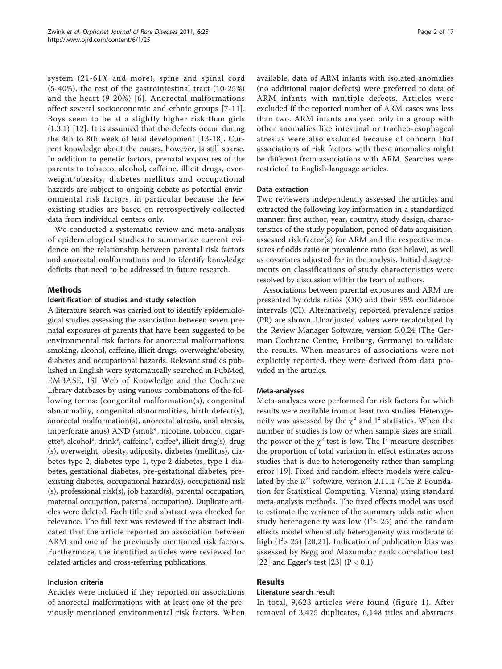system (21-61% and more), spine and spinal cord (5-40%), the rest of the gastrointestinal tract (10-25%) and the heart (9-20%) [[6\]](#page-14-0). Anorectal malformations affect several socioeconomic and ethnic groups [[7](#page-14-0)-[11](#page-14-0)]. Boys seem to be at a slightly higher risk than girls (1.3:1) [\[12](#page-15-0)]. It is assumed that the defects occur during the 4th to 8th week of fetal development [[13](#page-15-0)-[18\]](#page-15-0). Current knowledge about the causes, however, is still sparse. In addition to genetic factors, prenatal exposures of the parents to tobacco, alcohol, caffeine, illicit drugs, overweight/obesity, diabetes mellitus and occupational hazards are subject to ongoing debate as potential environmental risk factors, in particular because the few existing studies are based on retrospectively collected data from individual centers only.

We conducted a systematic review and meta-analysis of epidemiological studies to summarize current evidence on the relationship between parental risk factors and anorectal malformations and to identify knowledge deficits that need to be addressed in future research.

#### Methods

#### Identification of studies and study selection

A literature search was carried out to identify epidemiological studies assessing the association between seven prenatal exposures of parents that have been suggested to be environmental risk factors for anorectal malformations: smoking, alcohol, caffeine, illicit drugs, overweight/obesity, diabetes and occupational hazards. Relevant studies published in English were systematically searched in PubMed, EMBASE, ISI Web of Knowledge and the Cochrane Library databases by using various combinations of the following terms: (congenital malformation(s), congenital abnormality, congenital abnormalities, birth defect(s), anorectal malformation(s), anorectal atresia, anal atresia, imperforate anus) AND (smok\*, nicotine, tobacco, cigarette\*, alcohol\*, drink\*, caffeine\*, coffee\*, illicit drug(s), drug (s), overweight, obesity, adiposity, diabetes (mellitus), diabetes type 2, diabetes type 1, type 2 diabetes, type 1 diabetes, gestational diabetes, pre-gestational diabetes, preexisting diabetes, occupational hazard(s), occupational risk (s), professional risk(s), job hazard(s), parental occupation, maternal occupation, paternal occupation). Duplicate articles were deleted. Each title and abstract was checked for relevance. The full text was reviewed if the abstract indicated that the article reported an association between ARM and one of the previously mentioned risk factors. Furthermore, the identified articles were reviewed for related articles and cross-referring publications.

#### Inclusion criteria

Articles were included if they reported on associations of anorectal malformations with at least one of the previously mentioned environmental risk factors. When available, data of ARM infants with isolated anomalies (no additional major defects) were preferred to data of ARM infants with multiple defects. Articles were excluded if the reported number of ARM cases was less than two. ARM infants analysed only in a group with other anomalies like intestinal or tracheo-esophageal atresias were also excluded because of concern that associations of risk factors with these anomalies might be different from associations with ARM. Searches were restricted to English-language articles.

#### Data extraction

Two reviewers independently assessed the articles and extracted the following key information in a standardized manner: first author, year, country, study design, characteristics of the study population, period of data acquisition, assessed risk factor(s) for ARM and the respective measures of odds ratio or prevalence ratio (see below), as well as covariates adjusted for in the analysis. Initial disagreements on classifications of study characteristics were resolved by discussion within the team of authors.

Associations between parental exposures and ARM are presented by odds ratios (OR) and their 95% confidence intervals (CI). Alternatively, reported prevalence ratios (PR) are shown. Unadjusted values were recalculated by the Review Manager Software, version 5.0.24 (The German Cochrane Centre, Freiburg, Germany) to validate the results. When measures of associations were not explicitly reported, they were derived from data provided in the articles.

#### Meta-analyses

Meta-analyses were performed for risk factors for which results were available from at least two studies. Heterogeneity was assessed by the  $\chi^2$  and I<sup>2</sup> statistics. When the number of studies is low or when sample sizes are small, the power of the  $\chi^2$  test is low. The I<sup>2</sup> measure describes the proportion of total variation in effect estimates across studies that is due to heterogeneity rather than sampling error [[19\]](#page-15-0). Fixed and random effects models were calculated by the  $R^{\circ}$  software, version 2.11.1 (The R Foundation for Statistical Computing, Vienna) using standard meta-analysis methods. The fixed effects model was used to estimate the variance of the summary odds ratio when study heterogeneity was low ( $I<sup>2</sup> \le 25$ ) and the random effects model when study heterogeneity was moderate to high  $(I^2 > 25)$  [[20,21](#page-15-0)]. Indication of publication bias was assessed by Begg and Mazumdar rank correlation test [[22\]](#page-15-0) and Egger's test [[23\]](#page-15-0)  $(P < 0.1)$ .

#### Results

#### Literature search result

In total, 9,623 articles were found (figure [1](#page-2-0)). After removal of 3,475 duplicates, 6,148 titles and abstracts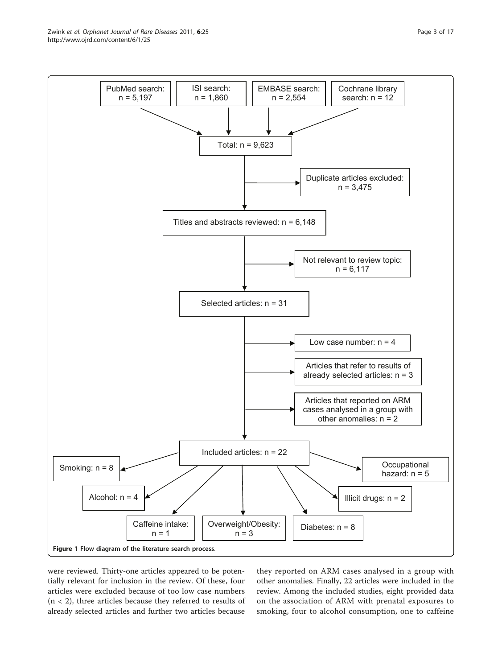<span id="page-2-0"></span>

were reviewed. Thirty-one articles appeared to be potentially relevant for inclusion in the review. Of these, four articles were excluded because of too low case numbers  $(n < 2)$ , three articles because they referred to results of already selected articles and further two articles because

they reported on ARM cases analysed in a group with other anomalies. Finally, 22 articles were included in the review. Among the included studies, eight provided data on the association of ARM with prenatal exposures to smoking, four to alcohol consumption, one to caffeine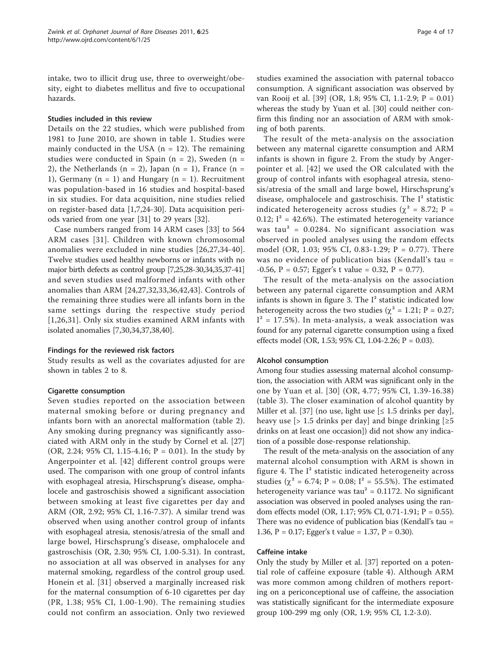intake, two to illicit drug use, three to overweight/obesity, eight to diabetes mellitus and five to occupational hazards.

#### Studies included in this review

Details on the 22 studies, which were published from 1981 to June 2010, are shown in table [1](#page-4-0). Studies were mainly conducted in the USA  $(n = 12)$ . The remaining studies were conducted in Spain ( $n = 2$ ), Sweden ( $n =$ 2), the Netherlands (n = 2), Japan (n = 1), France (n = 1), Germany  $(n = 1)$  and Hungary  $(n = 1)$ . Recruitment was population-based in 16 studies and hospital-based in six studies. For data acquisition, nine studies relied on register-based data [[1,7,](#page-14-0)[24-30\]](#page-15-0). Data acquisition periods varied from one year [\[31\]](#page-15-0) to 29 years [[32](#page-15-0)].

Case numbers ranged from 14 ARM cases [[33\]](#page-15-0) to 564 ARM cases [[31\]](#page-15-0). Children with known chromosomal anomalies were excluded in nine studies [[26,27,34](#page-15-0)-[40](#page-15-0)]. Twelve studies used healthy newborns or infants with no major birth defects as control group [[7](#page-14-0)[,25,28-30,34,35,37-41](#page-15-0)] and seven studies used malformed infants with other anomalies than ARM [\[24](#page-15-0),[27,32,33,36](#page-15-0),[42,43\]](#page-15-0). Controls of the remaining three studies were all infants born in the same settings during the respective study period [[1](#page-14-0),[26,31](#page-15-0)]. Only six studies examined ARM infants with isolated anomalies [[7,](#page-14-0)[30,34,37](#page-15-0),[38](#page-15-0),[40](#page-15-0)].

#### Findings for the reviewed risk factors

Study results as well as the covariates adjusted for are shown in tables [2](#page-6-0) to [8.](#page-10-0)

#### Cigarette consumption

Seven studies reported on the association between maternal smoking before or during pregnancy and infants born with an anorectal malformation (table [2](#page-6-0)). Any smoking during pregnancy was significantly associated with ARM only in the study by Cornel et al. [\[27](#page-15-0)] (OR, 2.24; 95% CI, 1.15-4.16;  $P = 0.01$ ). In the study by Angerpointer et al. [[42](#page-15-0)] different control groups were used. The comparison with one group of control infants with esophageal atresia, Hirschsprung's disease, omphalocele and gastroschisis showed a significant association between smoking at least five cigarettes per day and ARM (OR, 2.92; 95% CI, 1.16-7.37). A similar trend was observed when using another control group of infants with esophageal atresia, stenosis/atresia of the small and large bowel, Hirschsprung's disease, omphalocele and gastroschisis (OR, 2.30; 95% CI, 1.00-5.31). In contrast, no association at all was observed in analyses for any maternal smoking, regardless of the control group used. Honein et al. [[31](#page-15-0)] observed a marginally increased risk for the maternal consumption of 6-10 cigarettes per day (PR, 1.38; 95% CI, 1.00-1.90). The remaining studies could not confirm an association. Only two reviewed studies examined the association with paternal tobacco consumption. A significant association was observed by van Rooij et al. [\[39](#page-15-0)] (OR, 1.8; 95% CI, 1.1-2.9; P = 0.01) whereas the study by Yuan et al. [[30\]](#page-15-0) could neither confirm this finding nor an association of ARM with smoking of both parents.

The result of the meta-analysis on the association between any maternal cigarette consumption and ARM infants is shown in figure [2.](#page-11-0) From the study by Angerpointer et al. [[42](#page-15-0)] we used the OR calculated with the group of control infants with esophageal atresia, stenosis/atresia of the small and large bowel, Hirschsprung's disease, omphalocele and gastroschisis. The I² statistic indicated heterogeneity across studies ( $\chi^2$  = 8.72; P = 0.12;  $I^2 = 42.6\%$ ). The estimated heterogeneity variance was tau<sup>2</sup> =  $0.0284$ . No significant association was observed in pooled analyses using the random effects model (OR, 1.03; 95% CI, 0.83-1.29; P = 0.77). There was no evidence of publication bias (Kendall's tau =  $-0.56$ ,  $P = 0.57$ ; Egger's t value = 0.32,  $P = 0.77$ ).

The result of the meta-analysis on the association between any paternal cigarette consumption and ARM infants is shown in figure [3](#page-11-0). The  $I<sup>2</sup>$  statistic indicated low heterogeneity across the two studies ( $\chi^2$  = 1.21; P = 0.27;  $I^2 = 17.5\%$ ). In meta-analysis, a weak association was found for any paternal cigarette consumption using a fixed effects model (OR, 1.53; 95% CI, 1.04-2.26; P = 0.03).

#### Alcohol consumption

Among four studies assessing maternal alcohol consumption, the association with ARM was significant only in the one by Yuan et al. [[30](#page-15-0)] (OR, 4.77; 95% CI, 1.39-16.38) (table [3](#page-7-0)). The closer examination of alcohol quantity by Miller et al. [[37](#page-15-0)] (no use, light use  $[ \leq 1.5$  drinks per day], heavy use  $[> 1.5$  drinks per day] and binge drinking  $[≥5$ drinks on at least one occasion]) did not show any indication of a possible dose-response relationship.

The result of the meta-analysis on the association of any maternal alcohol consumption with ARM is shown in figure [4.](#page-11-0) The  $I<sup>2</sup>$  statistic indicated heterogeneity across studies ( $\chi^2$  = 6.74; P = 0.08; I<sup>2</sup> = 55.5%). The estimated heterogeneity variance was tau<sup>2</sup> = 0.1172. No significant association was observed in pooled analyses using the random effects model (OR, 1.17; 95% CI, 0.71-1.91; P = 0.55). There was no evidence of publication bias (Kendall's tau = 1.36, P = 0.17; Egger's t value = 1.37, P = 0.30).

#### Caffeine intake

Only the study by Miller et al. [\[37\]](#page-15-0) reported on a potential role of caffeine exposure (table [4\)](#page-7-0). Although ARM was more common among children of mothers reporting on a periconceptional use of caffeine, the association was statistically significant for the intermediate exposure group 100-299 mg only (OR, 1.9; 95% CI, 1.2-3.0).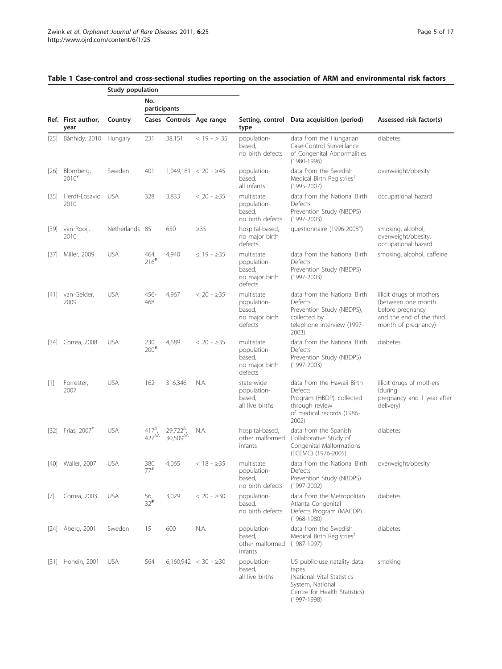|        |                            | Study population |                                          |                                          |                            |                                                                  |                                                                                                                                        |                                                                                                                       |  |
|--------|----------------------------|------------------|------------------------------------------|------------------------------------------|----------------------------|------------------------------------------------------------------|----------------------------------------------------------------------------------------------------------------------------------------|-----------------------------------------------------------------------------------------------------------------------|--|
|        |                            |                  | No.<br>participants                      |                                          |                            |                                                                  |                                                                                                                                        |                                                                                                                       |  |
|        | Ref. First author,<br>year | Country          |                                          |                                          | Cases Controls Age range   | type                                                             | Setting, control Data acquisition (period)                                                                                             | Assessed risk factor(s)                                                                                               |  |
| $[25]$ | Bánhidy, 2010              | Hungary          | 231                                      | 38,151                                   | $< 19 - 35$                | population-<br>based,<br>no birth defects                        | data from the Hungarian<br>Case-Control Surveillance<br>of Congenital Abnormalities<br>$(1980 - 1996)$                                 | diabetes                                                                                                              |  |
| $[26]$ | Blomberg,<br>$2010*$       | Sweden           | 401                                      |                                          | $1,049,181 < 20 - \ge 45$  | population-<br>based,<br>all infants                             | data from the Swedish<br>Medical Birth Registries <sup>T</sup><br>$(1995 - 2007)$                                                      | overweight/obesity                                                                                                    |  |
| $[35]$ | Herdt-Losavio,<br>2010     | usa              | 328                                      | 3,833                                    | $< 20 - 235$               | multistate<br>population-<br>based,<br>no birth defects          | data from the National Birth<br>Defects<br>Prevention Study (NBDPS)<br>$(1997 - 2003)$                                                 | occupational hazard                                                                                                   |  |
| [39]   | van Rooij,<br>2010         | Netherlands 85   |                                          | 650                                      | $\geq$ 35                  | hospital-based,<br>no major birth<br>defects                     | questionnaire (1996-2008 <sup>+</sup> )                                                                                                | smoking, alcohol,<br>overweight/obesity,<br>occupational hazard                                                       |  |
| [37]   | Miller, 2009               | <b>USA</b>       | 464,<br>$216$ <sup>#</sup>               | 4,940                                    | $≤ 19 - ≥35$               | multistate<br>population-<br>based,<br>no major birth<br>defects | data from the National Birth<br>Defects<br>Prevention Study (NBDPS)<br>$(1997 - 2003)$                                                 | smoking, alcohol, caffeine                                                                                            |  |
| [41]   | van Gelder,<br>2009        | <b>USA</b>       | 456-<br>468                              | 4,967                                    | $< 20 - > 35$              | multistate<br>population-<br>based,<br>no major birth<br>defects | data from the National Birth<br>Defects<br>Prevention Study (NBDPS),<br>collected by<br>telephone interview (1997-<br>2003)            | illicit drugs of mothers<br>(between one month<br>before pregnancy<br>and the end of the third<br>month of pregnancy) |  |
| [34]   | Correa, 2008               | <b>USA</b>       | 230<br>$200*$                            | 4,689                                    | $< 20 - 235$               | multistate<br>population-<br>based,<br>no major birth<br>defects | data from the National Birth<br>Defects<br>Prevention Study (NBDPS)<br>$(1997 - 2003)$                                                 | diabetes                                                                                                              |  |
| $[1]$  | Forrester,<br>2007         | <b>USA</b>       | 162                                      | 316,346                                  | N.A.                       | state-wide<br>population-<br>based,<br>all live births           | data from the Hawaii Birth<br>Defects<br>Program (HBDP), collected<br>through review<br>of medical records (1986-<br>2002)             | illicit drugs of mothers<br>(during<br>pregnancy and 1 year after<br>delivery)                                        |  |
| $[32]$ | Frías, 2007*               | <b>USA</b>       | 417 <sup>4</sup><br>$427^{\Delta\Delta}$ | $29.722^{\circ}$<br>30,509 <sup>44</sup> | N.A.                       | hospital-based,<br>other malformed<br>infants                    | data from the Spanish<br>Collaborative Study of<br>Congenital Malformations<br>(ECEMC) (1976-2005)                                     | diabetes                                                                                                              |  |
|        | [40] Waller, 2007          | <b>USA</b>       | 380,<br>77#                              | 4,065                                    | $< 18 - 235$               | multistate<br>population-<br>based,<br>no birth defects          | data from the National Birth<br>Defects<br>Prevention Study (NBDPS)<br>$(1997 - 2002)$                                                 | overweight/obesity                                                                                                    |  |
| [7]    | Correa, 2003               | <b>USA</b>       | 56,<br>$32^{\#}$                         | 3,029                                    | $< 20 - > 30$              | population-<br>based,<br>no birth defects                        | data from the Metropolitan<br>Atlanta Congenital<br>Defects Program (MACDP)<br>$(1968 - 1980)$                                         | diabetes                                                                                                              |  |
| $[24]$ | Aberg, 2001                | Sweden           | 15                                       | 600                                      | N.A.                       | population-<br>based,<br>other malformed<br>infants              | data from the Swedish<br>Medical Birth Registries <sup>T</sup><br>$(1987 - 1997)$                                                      | diabetes                                                                                                              |  |
|        | [31] Honein, 2001          | <b>USA</b>       | 564                                      |                                          | $6,160,942 < 30 - \geq 30$ | population-<br>based,<br>all live births                         | US public-use natality data<br>tapes<br>(National Vital Statistics<br>System, National<br>Centre for Health Statistics)<br>(1997-1998) | smoking                                                                                                               |  |

# <span id="page-4-0"></span>Table 1 Case-control and cross-sectional studies reporting on the association of ARM and environmental risk factors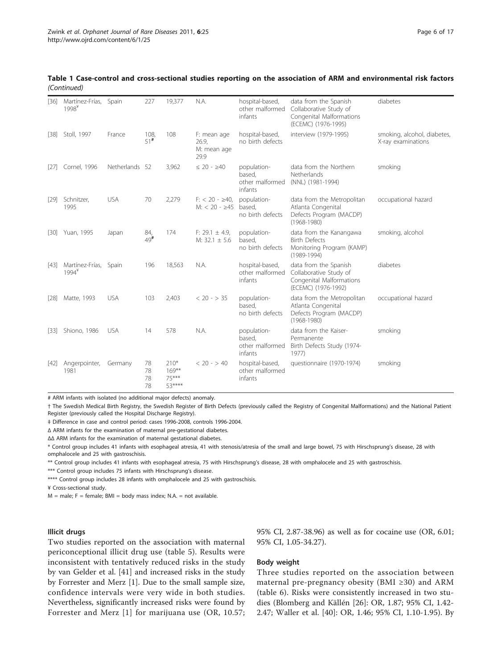| $[36]$ | Martínez-Frías,<br>$1998*$       | Spain          | 227                       | 19,377                                  | N.A.                                        | hospital-based,<br>other malformed<br>infants       | data from the Spanish<br>Collaborative Study of<br>Congenital Malformations<br>(ECEMC) (1976-1995) | diabetes                                          |
|--------|----------------------------------|----------------|---------------------------|-----------------------------------------|---------------------------------------------|-----------------------------------------------------|----------------------------------------------------------------------------------------------------|---------------------------------------------------|
| $[38]$ | Stoll, 1997                      | France         | 108,<br>$51$ <sup>#</sup> | 108                                     | F: mean age<br>26.9,<br>M: mean age<br>29.9 | hospital-based,<br>no birth defects                 | interview (1979-1995)                                                                              | smoking, alcohol, diabetes,<br>X-ray examinations |
| [27]   | Cornel, 1996                     | Netherlands 52 |                           | 3,962                                   | $\leq$ 20 - $\geq$ 40                       | population-<br>based.<br>other malformed<br>infants | data from the Northern<br>Netherlands<br>(NNL) (1981-1994)                                         | smoking                                           |
| [29]   | Schnitzer,<br>1995               | <b>USA</b>     | 70                        | 2,279                                   | $F: < 20 - \geq 40$ ,<br>$M: < 20 - \ge 45$ | population-<br>based.<br>no birth defects           | data from the Metropolitan<br>Atlanta Congenital<br>Defects Program (MACDP)<br>$(1968 - 1980)$     | occupational hazard                               |
| [30]   | Yuan, 1995                       | Japan          | 84,<br>$49^{\#}$          | 174                                     | F: 29.1 $\pm$ 4.9.<br>M: $32.1 \pm 5.6$     | population-<br>based,<br>no birth defects           | data from the Kanangawa<br><b>Birth Defects</b><br>Monitoring Program (KAMP)<br>$(1989 - 1994)$    | smoking, alcohol                                  |
| [43]   | Martínez-Frías, Spain<br>$1994*$ |                | 196                       | 18,563                                  | N.A.                                        | hospital-based,<br>other malformed<br>infants       | data from the Spanish<br>Collaborative Study of<br>Congenital Malformations<br>(ECEMC) (1976-1992) | diabetes                                          |
| [28]   | Matte, 1993                      | <b>USA</b>     | 103                       | 2.403                                   | $< 20 - > 35$                               | population-<br>based,<br>no birth defects           | data from the Metropolitan<br>Atlanta Congenital<br>Defects Program (MACDP)<br>$(1968 - 1980)$     | occupational hazard                               |
| 1331   | Shiono, 1986                     | <b>USA</b>     | 14                        | 578                                     | N.A.                                        | population-<br>based.<br>other malformed<br>infants | data from the Kaiser-<br>Permanente<br>Birth Defects Study (1974-<br>1977)                         | smoking                                           |
| $[42]$ | Angerpointer,<br>1981            | Germany        | 78<br>78<br>78<br>78      | $210*$<br>$169***$<br>$75***$<br>53**** | $< 20 - 540$                                | hospital-based,<br>other malformed<br>infants       | questionnaire (1970-1974)                                                                          | smoking                                           |

# ARM infants with isolated (no additional major defects) anomaly.

† The Swedish Medical Birth Registry, the Swedish Register of Birth Defects (previously called the Registry of Congenital Malformations) and the National Patient Register (previously called the Hospital Discharge Registry).

‡ Difference in case and control period: cases 1996-2008, controls 1996-2004.

Δ ARM infants for the examination of maternal pre-gestational diabetes.

ΔΔ ARM infants for the examination of maternal gestational diabetes.

\* Control group includes 41 infants with esophageal atresia, 41 with stenosis/atresia of the small and large bowel, 75 with Hirschsprung's disease, 28 with omphalocele and 25 with gastroschisis.

\*\* Control group includes 41 infants with esophageal atresia, 75 with Hirschsprung's disease, 28 with omphalocele and 25 with gastroschisis.

\*\*\* Control group includes 75 infants with Hirschsprung's disease.

\*\*\*\* Control group includes 28 infants with omphalocele and 25 with gastroschisis.

¥ Cross-sectional study.

 $M =$  male;  $F =$  female; BMI = body mass index; N.A. = not available.

#### Illicit drugs

Two studies reported on the association with maternal periconceptional illicit drug use (table [5](#page-8-0)). Results were inconsistent with tentatively reduced risks in the study by van Gelder et al. [[41\]](#page-15-0) and increased risks in the study by Forrester and Merz [[1\]](#page-14-0). Due to the small sample size, confidence intervals were very wide in both studies. Nevertheless, significantly increased risks were found by Forrester and Merz [[1\]](#page-14-0) for marijuana use (OR, 10.57; 95% CI, 2.87-38.96) as well as for cocaine use (OR, 6.01; 95% CI, 1.05-34.27).

#### Body weight

Three studies reported on the association between maternal pre-pregnancy obesity (BMI ≥30) and ARM (table [6\)](#page-8-0). Risks were consistently increased in two studies (Blomberg and Källén [[26\]](#page-15-0): OR, 1.87; 95% CI, 1.42- 2.47; Waller et al. [\[40](#page-15-0)]: OR, 1.46; 95% CI, 1.10-1.95). By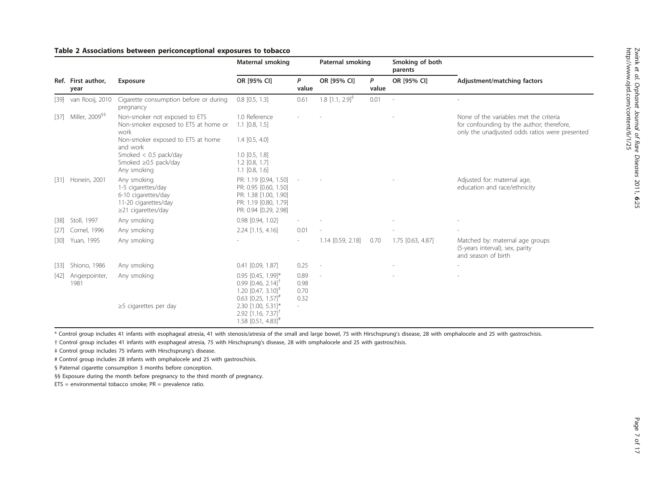#### <span id="page-6-0"></span>Table 2 Associations between periconceptional exposures to tobacco

|        |                            |                                                                                                                    | Maternal smoking                                                                                                                                                                                                           |                                        | Paternal smoking              |            | Smoking of both<br>parents |                                                                                                                                       |
|--------|----------------------------|--------------------------------------------------------------------------------------------------------------------|----------------------------------------------------------------------------------------------------------------------------------------------------------------------------------------------------------------------------|----------------------------------------|-------------------------------|------------|----------------------------|---------------------------------------------------------------------------------------------------------------------------------------|
|        | Ref. First author,<br>year | Exposure                                                                                                           | OR [95% CI]                                                                                                                                                                                                                | P<br>value                             | OR [95% CI]                   | P<br>value | OR [95% CI]                | Adjustment/matching factors                                                                                                           |
| [39]   | van Rooij, 2010            | Cigarette consumption before or during<br>pregnancy                                                                | $0.8$ $[0.5, 1.3]$                                                                                                                                                                                                         | 0.61                                   | 1.8 $[1.1, 2.9]$ <sup>§</sup> | 0.01       | $\sim$                     |                                                                                                                                       |
| [37]   | Miller, 2009 <sup>§§</sup> | Non-smoker not exposed to ETS<br>Non-smoker exposed to ETS at home or<br>work<br>Non-smoker exposed to ETS at home | 1.0 Reference<br>$1.1$ [0.8, 1.5]<br>$1.4$ [0.5, 4.0]                                                                                                                                                                      |                                        |                               |            |                            | None of the variables met the criteria<br>for confounding by the author; therefore,<br>only the unadjusted odds ratios were presented |
|        |                            | and work<br>Smoked $< 0.5$ pack/day<br>Smoked ≥0.5 pack/day<br>Any smoking                                         | $1.0$ [0.5, 1.8]<br>$1.2$ [0.8, 1.7]<br>$1.1$ [0.8, 1.6]                                                                                                                                                                   |                                        |                               |            |                            |                                                                                                                                       |
|        | [31] Honein, 2001          | Any smoking<br>1-5 cigarettes/day<br>6-10 cigarettes/day<br>11-20 cigarettes/day<br>$\geq$ 21 cigarettes/day       | PR: 1.19 [0.94, 1.50]<br>PR: 0.95 [0.60, 1.50]<br>PR: 1.38 [1.00, 1.90]<br>PR: 1.19 [0.80, 1.79]<br>PR: 0.94 [0.29, 2.98]                                                                                                  |                                        |                               |            |                            | Adjusted for: maternal age,<br>education and race/ethnicity                                                                           |
| $[38]$ | Stoll, 1997                | Any smoking                                                                                                        | 0.98 [0.94, 1.02]                                                                                                                                                                                                          |                                        |                               |            |                            |                                                                                                                                       |
|        | Cornel, 1996               | Any smoking                                                                                                        | 2.24 [1.15, 4.16]                                                                                                                                                                                                          | 0.01                                   |                               |            |                            |                                                                                                                                       |
| [30]   | Yuan, 1995                 | Any smoking                                                                                                        |                                                                                                                                                                                                                            | $\overline{\phantom{a}}$               | 1.14 [0.59, 2.18]             | 0.70       | 1.75 [0.63, 4.87]          | Matched by: maternal age groups<br>(5-years interval), sex, parity<br>and season of birth                                             |
| $[33]$ | Shiono, 1986               | Any smoking                                                                                                        | $0.41$ $[0.09, 1.87]$                                                                                                                                                                                                      | 0.25                                   |                               |            |                            |                                                                                                                                       |
| $[42]$ | Angerpointer,<br>1981      | Any smoking<br>$\geq$ 5 cigarettes per day                                                                         | 0.95 [0.45, 1.99]*<br>$0.99$ [0.46, 2.14] <sup>†</sup><br>$1.20$ [0.47, 3.10] <sup>+</sup><br>$0.63$ [0.25, 1.57] <sup>#</sup><br>2.30 [1.00, 5.31]*<br>2.92 [1.16, 7.37] <sup>T</sup><br>$1.58$ [0.51, 4.83] <sup>#</sup> | 0.89<br>0.98<br>0.70<br>0.32<br>$\sim$ | ÷,                            |            |                            |                                                                                                                                       |

\* Control group includes 41 infants with esophageal atresia, 41 with stenosis/atresia of the small and large bowel, 75 with Hirschsprung's disease, 28 with omphalocele and 25 with gastroschisis.

† Control group includes 41 infants with esophageal atresia, 75 with Hirschsprung's disease, 28 with omphalocele and 25 with gastroschisis.

‡ Control group includes 75 infants with Hirschsprung's disease.

# Control group includes 28 infants with omphalocele and 25 with gastroschisis.

§ Paternal cigarette consumption 3 months before conception.

§§ Exposure during the month before pregnancy to the third month of pregnancy.

 $ETS = environmental$  tobacco smoke;  $PR = prevalence$  ratio.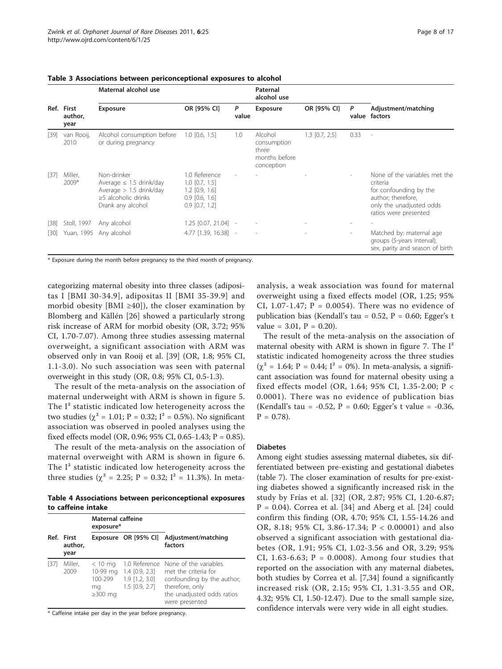|        |                          | Maternal alcohol use                                                                                                 |                                                                                                      |     | Paternal<br>alcohol use                                        |                  |                          |                                                                                                                                                |  |
|--------|--------------------------|----------------------------------------------------------------------------------------------------------------------|------------------------------------------------------------------------------------------------------|-----|----------------------------------------------------------------|------------------|--------------------------|------------------------------------------------------------------------------------------------------------------------------------------------|--|
| Ref.   | First<br>author,<br>year | Exposure                                                                                                             | OR [95% CI]<br>P<br>value                                                                            |     | <b>Exposure</b>                                                | OR [95% CI]      | P                        | Adjustment/matching<br>value factors                                                                                                           |  |
| $[39]$ | van Rooij,<br>2010       | Alcohol consumption before<br>or during pregnancy                                                                    | $1.0$ [0.6, 1.5]                                                                                     | 1.0 | Alcohol<br>consumption<br>three<br>months before<br>conception | $1.3$ [0.7, 2.5] | 0.33                     | $\overline{\phantom{a}}$                                                                                                                       |  |
| [37]   | Miller.<br>2009*         | Non-drinker<br>Average $\leq$ 1.5 drink/day<br>Average $> 1.5$ drink/day<br>>5 alcoholic drinks<br>Drank any alcohol | 1.0 Reference<br>$1.0$ [0.7, $1.5$ ]<br>$1.2$ [0.9, 1.6]<br>$0.9$ $[0.6, 1.6]$<br>$0.9$ $[0.7, 1.2]$ |     |                                                                |                  |                          | None of the variables met the<br>criteria<br>for confounding by the<br>author; therefore,<br>only the unadjusted odds<br>ratios were presented |  |
| [38]   | Stoll, 1997              | Any alcohol                                                                                                          | $1.25$ [0.07, 21.04] -                                                                               |     |                                                                |                  |                          |                                                                                                                                                |  |
| [30]   | Yuan, 1995               | Any alcohol                                                                                                          | 4.77 [1.39, 16.38] -                                                                                 |     | $\overline{\phantom{a}}$                                       |                  | $\overline{\phantom{a}}$ | Matched by: maternal age<br>groups (5-years interval),<br>sex, parity and season of birth                                                      |  |

<span id="page-7-0"></span>

| Table 3 Associations between periconceptional exposures to alcohol |  |  |  |  |
|--------------------------------------------------------------------|--|--|--|--|
|--------------------------------------------------------------------|--|--|--|--|

\* Exposure during the month before pregnancy to the third month of pregnancy.

categorizing maternal obesity into three classes (adipositas I [BMI 30-34.9], adipositas II [BMI 35-39.9] and morbid obesity [BMI  $\geq 40$ ]), the closer examination by Blomberg and Källén [[26](#page-15-0)] showed a particularly strong risk increase of ARM for morbid obesity (OR, 3.72; 95% CI, 1.70-7.07). Among three studies assessing maternal overweight, a significant association with ARM was observed only in van Rooij et al. [\[39\]](#page-15-0) (OR, 1.8; 95% CI, 1.1-3.0). No such association was seen with paternal overweight in this study (OR, 0.8; 95% CI, 0.5-1.3).

The result of the meta-analysis on the association of maternal underweight with ARM is shown in figure [5](#page-12-0). The I² statistic indicated low heterogeneity across the two studies ( $\chi^2 = 1.01$ ; P = 0.32; I<sup>2</sup> = 0.5%). No significant association was observed in pooled analyses using the fixed effects model (OR, 0.96; 95% CI, 0.65-1.43; P = 0.85).

The result of the meta-analysis on the association of maternal overweight with ARM is shown in figure [6](#page-12-0). The I² statistic indicated low heterogeneity across the three studies ( $\chi^2$  = 2.25; P = 0.32; I<sup>2</sup> = 11.3%). In meta-

Table 4 Associations between periconceptional exposures to caffeine intake

|      |                               | Maternal caffeine<br>exposure*                          |                                                          |                                                                                                                                                              |  |  |
|------|-------------------------------|---------------------------------------------------------|----------------------------------------------------------|--------------------------------------------------------------------------------------------------------------------------------------------------------------|--|--|
|      | Ref. First<br>author,<br>year |                                                         | Exposure OR [95% CI]                                     | Adjustment/matching<br>factors                                                                                                                               |  |  |
| [37] | Miller,<br>2009               | $< 10$ mg<br>10-99 mg<br>100-299<br>mg<br>$\geq$ 300 mg | $1.4$ [0.9, 2.3]<br>$1.9$ [1.2, 3.0]<br>$1.5$ [0.9, 2.7] | 1.0 Reference None of the variables<br>met the criteria for<br>confounding by the author;<br>therefore, only<br>the unadjusted odds ratios<br>were presented |  |  |

\* Caffeine intake per day in the year before pregnancy.

analysis, a weak association was found for maternal overweight using a fixed effects model (OR, 1.25; 95% CI, 1.07-1.47;  $P = 0.0054$ ). There was no evidence of publication bias (Kendall's tau =  $0.52$ , P =  $0.60$ ; Egger's t value = 3.01,  $P = 0.20$ ).

The result of the meta-analysis on the association of maternal obesity with ARM is shown in figure [7.](#page-13-0) The I² statistic indicated homogeneity across the three studies  $(\chi^2 = 1.64; P = 0.44; I^2 = 0\%)$ . In meta-analysis, a significant association was found for maternal obesity using a fixed effects model (OR, 1.64; 95% CI, 1.35-2.00; P < 0.0001). There was no evidence of publication bias (Kendall's tau =  $-0.52$ , P = 0.60; Egger's t value =  $-0.36$ ,  $P = 0.78$ .

#### Diabetes

Among eight studies assessing maternal diabetes, six differentiated between pre-existing and gestational diabetes (table [7\)](#page-9-0). The closer examination of results for pre-existing diabetes showed a significantly increased risk in the study by Frías et al. [[32\]](#page-15-0) (OR, 2.87; 95% CI, 1.20-6.87;  $P = 0.04$ ). Correa et al. [[34\]](#page-15-0) and Aberg et al. [[24](#page-15-0)] could confirm this finding (OR, 4.70; 95% CI, 1.55-14.26 and OR, 8.18; 95% CI, 3.86-17.34; P < 0.00001) and also observed a significant association with gestational diabetes (OR, 1.91; 95% CI, 1.02-3.56 and OR, 3.29; 95% CI, 1.63-6.63;  $P = 0.0008$ . Among four studies that reported on the association with any maternal diabetes, both studies by Correa et al. [\[7](#page-14-0)[,34](#page-15-0)] found a significantly increased risk (OR, 2.15; 95% CI, 1.31-3.55 and OR, 4.32; 95% CI, 1.50-12.47). Due to the small sample size, confidence intervals were very wide in all eight studies.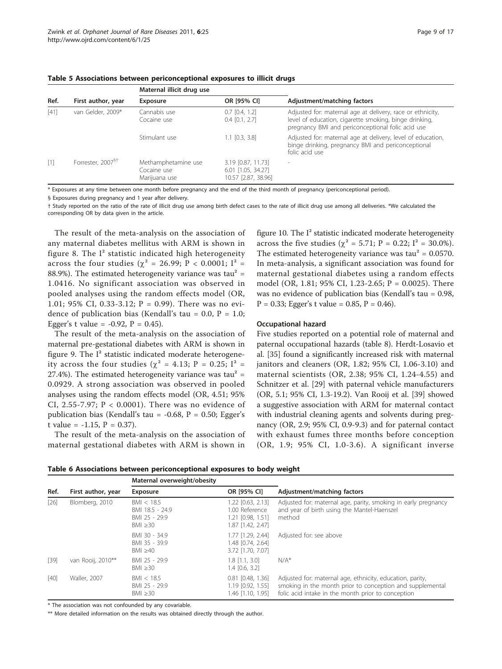|      |                               | Maternal illicit drug use          |                                          |                                                                                                                                                                           |
|------|-------------------------------|------------------------------------|------------------------------------------|---------------------------------------------------------------------------------------------------------------------------------------------------------------------------|
| Ref. | First author, year            | <b>Exposure</b>                    | OR [95% CI]                              | Adjustment/matching factors                                                                                                                                               |
| [41] | van Gelder, 2009*             | Cannabis use<br>Cocaine use        | $0.7$ $[0.4, 1.2]$<br>$0.4$ $[0.1, 2.7]$ | Adjusted for: maternal age at delivery, race or ethnicity,<br>level of education, cigarette smoking, binge drinking,<br>pregnancy BMI and periconceptional folic acid use |
|      |                               | Stimulant use                      | $1.1$ $[0.3, 3.8]$                       | Adjusted for: maternal age at delivery, level of education,<br>binge drinking, pregnancy BMI and periconceptional<br>folic acid use                                       |
| [1]  | Forrester, 2007 <sup>§†</sup> | Methamphetamine use<br>Cocaine use | 3.19 [0.87, 11.73]<br>6.01 [1.05, 34.27] | $\overline{\phantom{a}}$                                                                                                                                                  |

<span id="page-8-0"></span>Table 5 Associations between periconceptional exposures to illicit drugs

\* Exposures at any time between one month before pregnancy and the end of the third month of pregnancy (periconceptional period).

§ Exposures during pregnancy and 1 year after delivery.

† Study reported on the ratio of the rate of illicit drug use among birth defect cases to the rate of illicit drug use among all deliveries. \*We calculated the corresponding OR by data given in the article.

10.57 [2.87, 38.96]

The result of the meta-analysis on the association of any maternal diabetes mellitus with ARM is shown in figure [8.](#page-13-0) The  $I<sup>2</sup>$  statistic indicated high heterogeneity across the four studies ( $\chi^2$  = 26.99; P < 0.0001; I<sup>2</sup> = 88.9%). The estimated heterogeneity variance was tau<sup>2</sup> = 1.0416. No significant association was observed in pooled analyses using the random effects model (OR, 1.01; 95% CI, 0.33-3.12; P = 0.99). There was no evidence of publication bias (Kendall's tau =  $0.0$ , P =  $1.0$ ; Egger's t value =  $-0.92$ ,  $P = 0.45$ ).

Marijuana use

The result of the meta-analysis on the association of maternal pre-gestational diabetes with ARM is shown in figure [9.](#page-13-0) The I² statistic indicated moderate heterogeneity across the four studies ( $\chi^2 = 4.13$ ; P = 0.25; I<sup>2</sup> = 27.4%). The estimated heterogeneity variance was  $tau^2$  = 0.0929. A strong association was observed in pooled analyses using the random effects model (OR, 4.51; 95% CI, 2.55-7.97;  $P < 0.0001$ ). There was no evidence of publication bias (Kendall's tau =  $-0.68$ , P = 0.50; Egger's t value =  $-1.15$ ,  $P = 0.37$ ).

The result of the meta-analysis on the association of maternal gestational diabetes with ARM is shown in

figure [10.](#page-13-0) The I² statistic indicated moderate heterogeneity across the five studies ( $\chi^2 = 5.71$ ; P = 0.22; I<sup>2</sup> = 30.0%). The estimated heterogeneity variance was tau<sup>2</sup> =  $0.0570$ . In meta-analysis, a significant association was found for maternal gestational diabetes using a random effects model (OR, 1.81; 95% CI, 1.23-2.65; P = 0.0025). There was no evidence of publication bias (Kendall's tau = 0.98,  $P = 0.33$ ; Egger's t value = 0.85,  $P = 0.46$ ).

#### Occupational hazard

Five studies reported on a potential role of maternal and paternal occupational hazards (table [8\)](#page-10-0). Herdt-Losavio et al. [\[35\]](#page-15-0) found a significantly increased risk with maternal janitors and cleaners (OR, 1.82; 95% CI, 1.06-3.10) and maternal scientists (OR, 2.38; 95% CI, 1.24-4.55) and Schnitzer et al. [\[29](#page-15-0)] with paternal vehicle manufacturers (OR, 5.1; 95% CI, 1.3-19.2). Van Rooij et al. [[39\]](#page-15-0) showed a suggestive association with ARM for maternal contact with industrial cleaning agents and solvents during pregnancy (OR, 2.9; 95% CI, 0.9-9.3) and for paternal contact with exhaust fumes three months before conception (OR, 1.9; 95% CI, 1.0-3.6). A significant inverse

Table 6 Associations between periconceptional exposures to body weight

|        |                     | Maternal overweight/obesity                                     |                                                                               |                                                                                                                                                                              |
|--------|---------------------|-----------------------------------------------------------------|-------------------------------------------------------------------------------|------------------------------------------------------------------------------------------------------------------------------------------------------------------------------|
| Ref.   | First author, year  | <b>Exposure</b>                                                 | OR [95% CI]                                                                   | Adjustment/matching factors                                                                                                                                                  |
| $[26]$ | Blomberg, 2010      | BMI < 18.5<br>BMI 18.5 - 24.9<br>BMI 25 - 29.9<br>$BMI \geq 30$ | 1.22 [0.63, 2.13]<br>1.00 Reference<br>1.21 [0.98, 1.51]<br>1.87 [1.42, 2.47] | Adjusted for: maternal age, parity, smoking in early pregnancy<br>and year of birth using the Mantel-Haenszel<br>method                                                      |
|        |                     | BMI 30 - 34.9<br>BMI 35 - 39.9<br>$BMI \geq 40$                 | 1.77 [1.29, 2.44]<br>1.48 [0.74, 2.64]<br>3.72 [1.70, 7.07]                   | Adjusted for: see above                                                                                                                                                      |
| $[39]$ | van Rooij, 2010**   | BMI 25 - 29.9<br>$BMI \geq 30$                                  | $1.8$ [1.1, 3.0]<br>$1.4$ [0.6, 3.2]                                          | $N/A^*$                                                                                                                                                                      |
| $[40]$ | <b>Waller, 2007</b> | BM < 18.5<br>BMI 25 - 29.9<br>$BMl \geq 30$                     | $0.81$ [0.48, 1.36]<br>1.19 [0.92, 1.55]<br>1.46 [1.10, 1.95]                 | Adjusted for: maternal age, ethnicity, education, parity,<br>smoking in the month prior to conception and supplemental<br>folic acid intake in the month prior to conception |

\* The association was not confounded by any covariable.

\*\* More detailed information on the results was obtained directly through the author.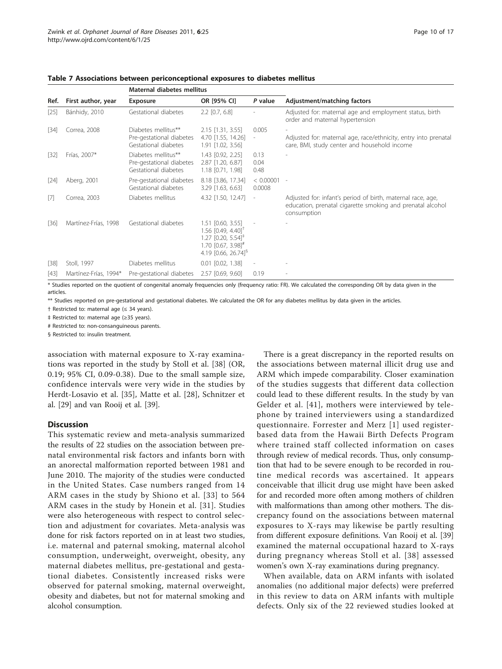|        |                       | Maternal diabetes mellitus                                              |                                                                                                                                                                     |                                   |                                                                                                                                          |  |  |
|--------|-----------------------|-------------------------------------------------------------------------|---------------------------------------------------------------------------------------------------------------------------------------------------------------------|-----------------------------------|------------------------------------------------------------------------------------------------------------------------------------------|--|--|
| Ref.   | First author, year    | <b>Exposure</b>                                                         | OR [95% CI]                                                                                                                                                         | P value                           | Adjustment/matching factors                                                                                                              |  |  |
| $[25]$ | Bánhidy, 2010         | Gestational diabetes                                                    | $2.2$ [0.7, 6.8]                                                                                                                                                    |                                   | Adjusted for: maternal age and employment status, birth<br>order and maternal hypertension                                               |  |  |
| [34]   | Correa, 2008          | Diabetes mellitus**<br>Pre-gestational diabetes<br>Gestational diabetes | 2.15 [1.31, 3.55]<br>4.70 [1.55, 14.26]<br>$1.91$ [1.02, 3.56]                                                                                                      | 0.005<br>$\overline{\phantom{a}}$ | Adjusted for: maternal age, race/ethnicity, entry into prenatal<br>care, BMI, study center and household income                          |  |  |
| $[32]$ | Frías, 2007*          | Diabetes mellitus**<br>Pre-gestational diabetes<br>Gestational diabetes | 1.43 [0.92, 2.25]<br>2.87 [1.20, 6.87]<br>1.18 [0.71, 1.98]                                                                                                         | 0.13<br>0.04<br>0.48              |                                                                                                                                          |  |  |
| [24]   | Aberg, 2001           | Pre-gestational diabetes<br>Gestational diabetes                        | 8.18 [3.86, 17.34]<br>3.29 [1.63, 6.63]                                                                                                                             | < 0.00001<br>0.0008               |                                                                                                                                          |  |  |
| [7]    | Correa, 2003          | Diabetes mellitus                                                       | 4.32 [1.50, 12.47]                                                                                                                                                  | $\overline{\phantom{a}}$          | Adjusted for: infant's period of birth, maternal race, age,<br>education, prenatal cigarette smoking and prenatal alcohol<br>consumption |  |  |
| $[36]$ | Martínez-Frías, 1998  | Gestational diabetes                                                    | 1.51 [0.60, 3.55]<br>1.56 $[0.49, 4.40]$ <sup>1</sup><br>1.27 $[0.20, 5.54]$ <sup>+</sup><br>$1.70$ [0.67, 3.98] <sup>#</sup><br>4.19 $[0.66, 26.74]$ <sup>\$</sup> |                                   |                                                                                                                                          |  |  |
| [38]   | Stoll, 1997           | Diabetes mellitus                                                       | $0.01$ $[0.02, 1.38]$                                                                                                                                               |                                   |                                                                                                                                          |  |  |
| $[43]$ | Martínez-Frías, 1994* | Pre-gestational diabetes                                                | 2.57 [0.69, 9.60]                                                                                                                                                   | 0.19                              |                                                                                                                                          |  |  |

<span id="page-9-0"></span>Table 7 Associations between periconceptional exposures to diabetes mellitus

\* Studies reported on the quotient of congenital anomaly frequencies only (frequency ratio: FR). We calculated the corresponding OR by data given in the articles.

\*\* Studies reported on pre-gestational and gestational diabetes. We calculated the OR for any diabetes mellitus by data given in the articles.

† Restricted to: maternal age (≤ 34 years).

‡ Restricted to: maternal age (≥35 years).

# Restricted to: non-consanguineous parents.

§ Restricted to: insulin treatment.

association with maternal exposure to X-ray examinations was reported in the study by Stoll et al. [[38\]](#page-15-0) (OR, 0.19; 95% CI, 0.09-0.38). Due to the small sample size, confidence intervals were very wide in the studies by Herdt-Losavio et al. [[35](#page-15-0)], Matte et al. [\[28](#page-15-0)], Schnitzer et al. [\[29\]](#page-15-0) and van Rooij et al. [[39](#page-15-0)].

#### **Discussion**

This systematic review and meta-analysis summarized the results of 22 studies on the association between prenatal environmental risk factors and infants born with an anorectal malformation reported between 1981 and June 2010. The majority of the studies were conducted in the United States. Case numbers ranged from 14 ARM cases in the study by Shiono et al. [[33](#page-15-0)] to 564 ARM cases in the study by Honein et al. [\[31\]](#page-15-0). Studies were also heterogeneous with respect to control selection and adjustment for covariates. Meta-analysis was done for risk factors reported on in at least two studies, i.e. maternal and paternal smoking, maternal alcohol consumption, underweight, overweight, obesity, any maternal diabetes mellitus, pre-gestational and gestational diabetes. Consistently increased risks were observed for paternal smoking, maternal overweight, obesity and diabetes, but not for maternal smoking and alcohol consumption.

There is a great discrepancy in the reported results on the associations between maternal illicit drug use and ARM which impede comparability. Closer examination of the studies suggests that different data collection could lead to these different results. In the study by van Gelder et al. [[41](#page-15-0)], mothers were interviewed by telephone by trained interviewers using a standardized questionnaire. Forrester and Merz [[1\]](#page-14-0) used registerbased data from the Hawaii Birth Defects Program where trained staff collected information on cases through review of medical records. Thus, only consumption that had to be severe enough to be recorded in routine medical records was ascertained. It appears conceivable that illicit drug use might have been asked for and recorded more often among mothers of children with malformations than among other mothers. The discrepancy found on the associations between maternal exposures to X-rays may likewise be partly resulting from different exposure definitions. Van Rooij et al. [[39](#page-15-0)] examined the maternal occupational hazard to X-rays during pregnancy whereas Stoll et al. [[38](#page-15-0)] assessed women's own X-ray examinations during pregnancy.

When available, data on ARM infants with isolated anomalies (no additional major defects) were preferred in this review to data on ARM infants with multiple defects. Only six of the 22 reviewed studies looked at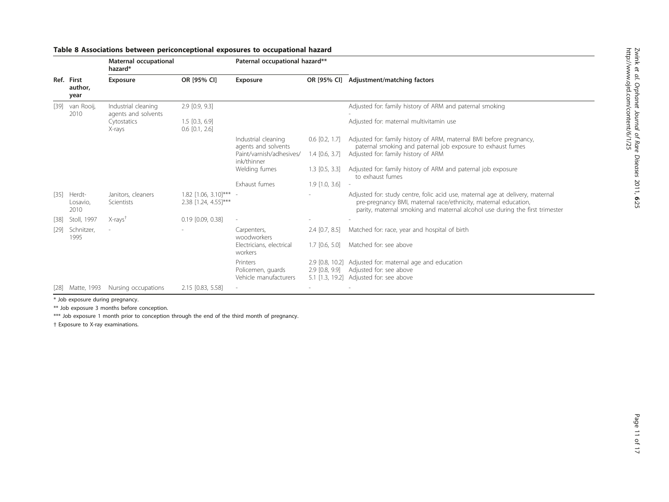|        |                               | Maternal occupational<br>hazard*           |                                                  | Paternal occupational hazard**                         |                                       |                                                                                                                                                                                                                                   |
|--------|-------------------------------|--------------------------------------------|--------------------------------------------------|--------------------------------------------------------|---------------------------------------|-----------------------------------------------------------------------------------------------------------------------------------------------------------------------------------------------------------------------------------|
|        | Ref. First<br>author,<br>year | <b>Exposure</b>                            | OR [95% CI]                                      | Exposure                                               |                                       | OR [95% CI] Adjustment/matching factors                                                                                                                                                                                           |
| [39]   | van Rooij,<br>2010            | Industrial cleaning<br>agents and solvents | $2.9$ [0.9, 9.3]                                 |                                                        |                                       | Adjusted for: family history of ARM and paternal smoking                                                                                                                                                                          |
|        |                               | Cytostatics<br>X-rays                      | $1.5$ [0.3, 6.9]<br>$0.6$ $[0.1, 2.6]$           |                                                        |                                       | Adjusted for: maternal multivitamin use                                                                                                                                                                                           |
|        |                               |                                            |                                                  | Industrial cleaning<br>agents and solvents             | $0.6$ $[0.2, 1.7]$                    | Adjusted for: family history of ARM, maternal BMI before pregnancy,<br>paternal smoking and paternal job exposure to exhaust fumes                                                                                                |
|        |                               |                                            |                                                  | Paint/varnish/adhesives/<br>ink/thinner                | $1.4$ [0.6, 3.7]                      | Adjusted for: family history of ARM                                                                                                                                                                                               |
|        |                               |                                            |                                                  | Welding fumes                                          | $1.3$ [0.5, 3.3]                      | Adjusted for: family history of ARM and paternal job exposure<br>to exhaust fumes                                                                                                                                                 |
|        |                               |                                            |                                                  | Exhaust fumes                                          | $1.9$ [1.0, 3.6]                      |                                                                                                                                                                                                                                   |
| $[35]$ | Herdt-<br>Losavio.<br>2010    | Janitors, cleaners<br>Scientists           | $1.82$ [1.06, 3.10]*** -<br>2.38 [1.24, 4.55]*** |                                                        |                                       | Adjusted for: study centre, folic acid use, maternal age at delivery, maternal<br>pre-pregnancy BMI, maternal race/ethnicity, maternal education,<br>parity, maternal smoking and maternal alcohol use during the first trimester |
| $[38]$ | Stoll, 1997                   | $X$ -rays <sup><math>T</math></sup>        | $0.19$ $[0.09, 0.38]$                            | $\sim$                                                 |                                       |                                                                                                                                                                                                                                   |
| $[29]$ | Schnitzer,<br>1995            |                                            |                                                  | Carpenters,<br>woodworkers                             | $2.4$ [0.7, 8.5]                      | Matched for: race, year and hospital of birth                                                                                                                                                                                     |
|        |                               |                                            |                                                  | Electricians, electrical<br>workers                    | $1.7$ [0.6, 5.0]                      | Matched for: see above                                                                                                                                                                                                            |
|        |                               |                                            |                                                  | Printers<br>Policemen, quards<br>Vehicle manufacturers | $2.9$ [0.8, 10.2]<br>$2.9$ [0.8, 9.9] | Adjusted for: maternal age and education<br>Adjusted for: see above<br>5.1 [1.3, 19.2] Adjusted for: see above                                                                                                                    |

#### <span id="page-10-0"></span>Table 8 Associations between periconceptional exposures to occupational hazard

\* Job exposure during pregnancy.

\*\* Job exposure 3 months before conception.

\*\*\* Job exposure 1 month prior to conception through the end of the third month of pregnancy.

[[28](#page-15-0)] Matte, 1993 Nursing occupations 2.15 [0.83, 5.58] - - -

† Exposure to X-ray examinations.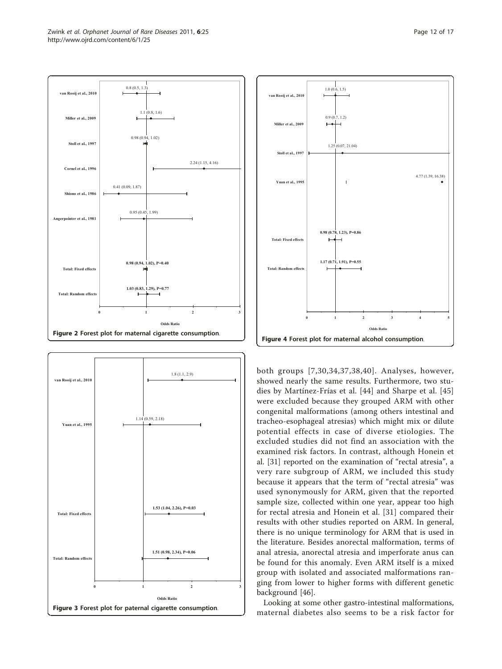<span id="page-11-0"></span>





both groups [[7](#page-14-0),[30,34](#page-15-0),[37](#page-15-0),[38,40](#page-15-0)]. Analyses, however, showed nearly the same results. Furthermore, two studies by Martínez-Frías et al. [\[44](#page-15-0)] and Sharpe et al. [\[45](#page-15-0)] were excluded because they grouped ARM with other congenital malformations (among others intestinal and tracheo-esophageal atresias) which might mix or dilute potential effects in case of diverse etiologies. The excluded studies did not find an association with the examined risk factors. In contrast, although Honein et al. [\[31](#page-15-0)] reported on the examination of "rectal atresia", a very rare subgroup of ARM, we included this study because it appears that the term of "rectal atresia" was used synonymously for ARM, given that the reported sample size, collected within one year, appear too high for rectal atresia and Honein et al. [[31\]](#page-15-0) compared their results with other studies reported on ARM. In general, there is no unique terminology for ARM that is used in the literature. Besides anorectal malformation, terms of anal atresia, anorectal atresia and imperforate anus can be found for this anomaly. Even ARM itself is a mixed group with isolated and associated malformations ranging from lower to higher forms with different genetic background [\[46\]](#page-15-0).

Looking at some other gastro-intestinal malformations, maternal diabetes also seems to be a risk factor for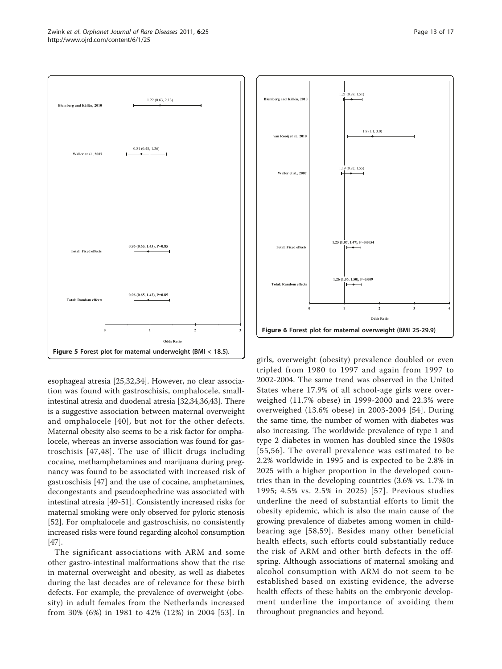<span id="page-12-0"></span>

esophageal atresia [\[25,32](#page-15-0),[34\]](#page-15-0). However, no clear association was found with gastroschisis, omphalocele, smallintestinal atresia and duodenal atresia [[32](#page-15-0),[34,36,43\]](#page-15-0). There is a suggestive association between maternal overweight and omphalocele [[40\]](#page-15-0), but not for the other defects. Maternal obesity also seems to be a risk factor for omphalocele, whereas an inverse association was found for gastroschisis [[47,48\]](#page-15-0). The use of illicit drugs including cocaine, methamphetamines and marijuana during pregnancy was found to be associated with increased risk of gastroschisis [[47](#page-15-0)] and the use of cocaine, amphetamines, decongestants and pseudoephedrine was associated with intestinal atresia [\[49](#page-15-0)-[51\]](#page-15-0). Consistently increased risks for maternal smoking were only observed for pyloric stenosis [[52\]](#page-15-0). For omphalocele and gastroschisis, no consistently increased risks were found regarding alcohol consumption [[47](#page-15-0)].

The significant associations with ARM and some other gastro-intestinal malformations show that the rise in maternal overweight and obesity, as well as diabetes during the last decades are of relevance for these birth defects. For example, the prevalence of overweight (obesity) in adult females from the Netherlands increased from 30% (6%) in 1981 to 42% (12%) in 2004 [[53](#page-15-0)]. In



girls, overweight (obesity) prevalence doubled or even tripled from 1980 to 1997 and again from 1997 to 2002-2004. The same trend was observed in the United States where 17.9% of all school-age girls were overweighed (11.7% obese) in 1999-2000 and 22.3% were overweighed (13.6% obese) in 2003-2004 [[54](#page-15-0)]. During the same time, the number of women with diabetes was also increasing. The worldwide prevalence of type 1 and type 2 diabetes in women has doubled since the 1980s [[55,56](#page-15-0)]. The overall prevalence was estimated to be 2.2% worldwide in 1995 and is expected to be 2.8% in 2025 with a higher proportion in the developed countries than in the developing countries (3.6% vs. 1.7% in 1995; 4.5% vs. 2.5% in 2025) [[57\]](#page-15-0). Previous studies underline the need of substantial efforts to limit the obesity epidemic, which is also the main cause of the growing prevalence of diabetes among women in childbearing age [[58,59\]](#page-15-0). Besides many other beneficial health effects, such efforts could substantially reduce the risk of ARM and other birth defects in the offspring. Although associations of maternal smoking and alcohol consumption with ARM do not seem to be established based on existing evidence, the adverse health effects of these habits on the embryonic development underline the importance of avoiding them throughout pregnancies and beyond.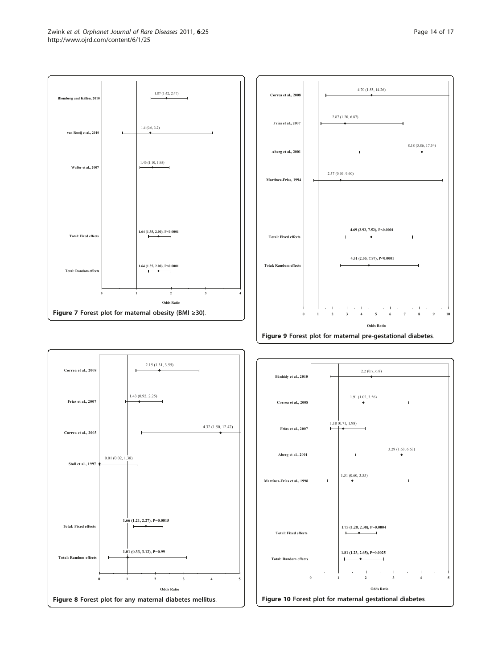<span id="page-13-0"></span>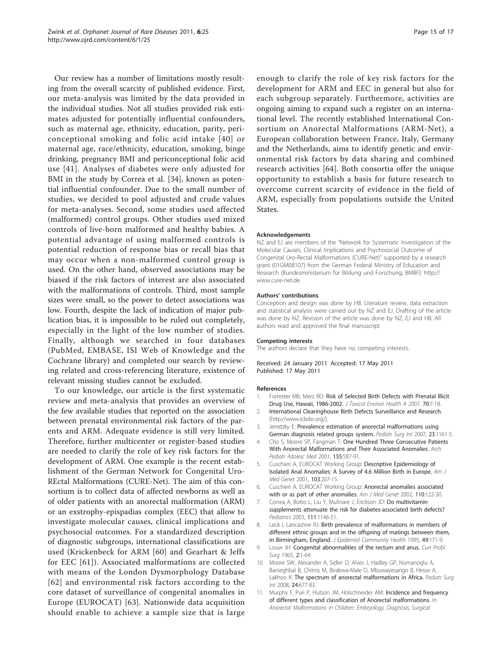<span id="page-14-0"></span>Our review has a number of limitations mostly resulting from the overall scarcity of published evidence. First, our meta-analysis was limited by the data provided in the individual studies. Not all studies provided risk estimates adjusted for potentially influential confounders, such as maternal age, ethnicity, education, parity, periconceptional smoking and folic acid intake [[40\]](#page-15-0) or maternal age, race/ethnicity, education, smoking, binge drinking, pregnancy BMI and periconceptional folic acid use [[41\]](#page-15-0). Analyses of diabetes were only adjusted for BMI in the study by Correa et al. [\[34](#page-15-0)], known as potential influential confounder. Due to the small number of studies, we decided to pool adjusted and crude values for meta-analyses. Second, some studies used affected (malformed) control groups. Other studies used mixed controls of live-born malformed and healthy babies. A potential advantage of using malformed controls is potential reduction of response bias or recall bias that may occur when a non-malformed control group is used. On the other hand, observed associations may be biased if the risk factors of interest are also associated with the malformations of controls. Third, most sample sizes were small, so the power to detect associations was low. Fourth, despite the lack of indication of major publication bias, it is impossible to be ruled out completely, especially in the light of the low number of studies. Finally, although we searched in four databases (PubMed, EMBASE, ISI Web of Knowledge and the Cochrane library) and completed our search by reviewing related and cross-referencing literature, existence of relevant missing studies cannot be excluded.

To our knowledge, our article is the first systematic review and meta-analysis that provides an overview of the few available studies that reported on the association between prenatal environmental risk factors of the parents and ARM. Adequate evidence is still very limited. Therefore, further multicenter or register-based studies are needed to clarify the role of key risk factors for the development of ARM. One example is the recent establishment of the German Network for Congenital Uro-REctal Malformations (CURE-Net). The aim of this consortium is to collect data of affected newborns as well as of older patients with an anorectal malformation (ARM) or an exstrophy-epispadias complex (EEC) that allow to investigate molecular causes, clinical implications and psychosocial outcomes. For a standardized description of diagnostic subgroups, international classifications are used (Krickenbeck for ARM [[60\]](#page-15-0) and Gearhart & Jeffs for EEC [[61](#page-16-0)]). Associated malformations are collected with means of the London Dysmorphology Database [[62\]](#page-16-0) and environmental risk factors according to the core dataset of surveillance of congenital anomalies in Europe (EUROCAT) [[63\]](#page-16-0). Nationwide data acquisition should enable to achieve a sample size that is large enough to clarify the role of key risk factors for the development for ARM and EEC in general but also for each subgroup separately. Furthermore, activities are ongoing aiming to expand such a register on an international level. The recently established International Consortium on Anorectal Malformations (ARM-Net), a European collaboration between France, Italy, Germany and the Netherlands, aims to identify genetic and environmental risk factors by data sharing and combined research activities [\[64](#page-16-0)]. Both consortia offer the unique opportunity to establish a basis for future research to overcome current scarcity of evidence in the field of ARM, especially from populations outside the United States.

#### Acknowledgements

NZ and EJ are members of the "Network for Systematic Investigation of the Molecular Causes, Clinical Implications and Psychosocial Outcome of Congenital Uro-Rectal Malformations (CURE-Net)" supported by a research grant (01GM08107) from the German Federal Ministry of Education and Research (Bundesministerium für Bildung und Forschung, BMBF): [http://](http://www.cure-net.de) [www.cure-net.de.](http://www.cure-net.de)

#### Authors' contributions

Conception and design was done by HB. Literature review, data extraction and statistical analysis were carried out by NZ and EJ. Drafting of the article was done by NZ. Revision of the article was done by NZ, EJ and HB. All authors read and approved the final manuscript.

#### Competing interests

The authors declare that they have no competing interests.

#### Received: 24 January 2011 Accepted: 17 May 2011 Published: 17 May 2011

#### References

- 1. Forrester MB, Merz RD: [Risk of Selected Birth Defects with Prenatal Illicit](http://www.ncbi.nlm.nih.gov/pubmed/17162495?dopt=Abstract) [Drug Use, Hawaii, 1986-2002.](http://www.ncbi.nlm.nih.gov/pubmed/17162495?dopt=Abstract) J Toxicol Environ Health A 2007, 70:7-18.
- 2. International Clearinghouse Birth Defects Surveillance and Research. [<http://www.icbdsr.org/>].
- 3. Jenetzky E: [Prevalence estimation of anorectal malformations using](http://www.ncbi.nlm.nih.gov/pubmed/17929037?dopt=Abstract) [German diagnosis related groups system.](http://www.ncbi.nlm.nih.gov/pubmed/17929037?dopt=Abstract) Pediatr Surg Int 2007, 23:1161-5.
- 4. Cho S, Moore SP, Fangman T: [One Hundred Three Consecutive Patients](http://www.ncbi.nlm.nih.gov/pubmed/11343503?dopt=Abstract) [With Anorectal Malformations and Their Associated Anomalies.](http://www.ncbi.nlm.nih.gov/pubmed/11343503?dopt=Abstract) Arch Pediatr Adolesc Med 2001, 155:587-91.
- 5. Cuschieri A, EUROCAT Working Group: [Descriptive Epidemiology of](http://www.ncbi.nlm.nih.gov/pubmed/11745992?dopt=Abstract) [Isolated Anal Anomalies: A Survey of 4.6 Million Birth in Europe.](http://www.ncbi.nlm.nih.gov/pubmed/11745992?dopt=Abstract) Am J Med Genet 2001, 103:207-15.
- 6. Cuschieri A, EUROCAT Working Group: [Anorectal anomalies associated](http://www.ncbi.nlm.nih.gov/pubmed/12116249?dopt=Abstract) [with or as part of other anomalies.](http://www.ncbi.nlm.nih.gov/pubmed/12116249?dopt=Abstract) Am J Med Genet 2002, 110:122-30.
- 7. Correa A, Botto L, Liu Y, Mulinare J, Erickson JD: [Do multivitamin](http://www.ncbi.nlm.nih.gov/pubmed/12728128?dopt=Abstract) [supplements attenuate the risk for diabetes-associated birth defects?](http://www.ncbi.nlm.nih.gov/pubmed/12728128?dopt=Abstract) Pediatrics 2003, 111:1146-51.
- 8. Leck I, Lancashire RJ: [Birth prevalence of malformations in members of](http://www.ncbi.nlm.nih.gov/pubmed/7798046?dopt=Abstract) [different ethnic groups and in the offspring of matings between them,](http://www.ncbi.nlm.nih.gov/pubmed/7798046?dopt=Abstract) [in Birmingham, England.](http://www.ncbi.nlm.nih.gov/pubmed/7798046?dopt=Abstract) J Epidemiol Community Health 1995, 49:171-9.
- 9. Louw JH: Congenital abnormalities of the rectum and anus. Curr Probl Surg 1965, 2:1-64.
- 10. Moore SW, Alexander A, Sidler D, Alves J, Hadley GP, Numanoglu A, Banieghbal B, Chitnis M, Birabwa-Male D, Mbuwayesango B, Hesse A, Lakhoo K: [The spectrum of anorectal malformations in Africa.](http://www.ncbi.nlm.nih.gov/pubmed/18386020?dopt=Abstract) Pediatr Surg Int 2008, 24:677-83.
- 11. Murphy F, Puri P, Hutson JM, Holschneider AM: Incidence and frequency of different types and classification of Anorectal malformations. In Anorectal Malformations in Children: Embryology, Diagnosis, Surgical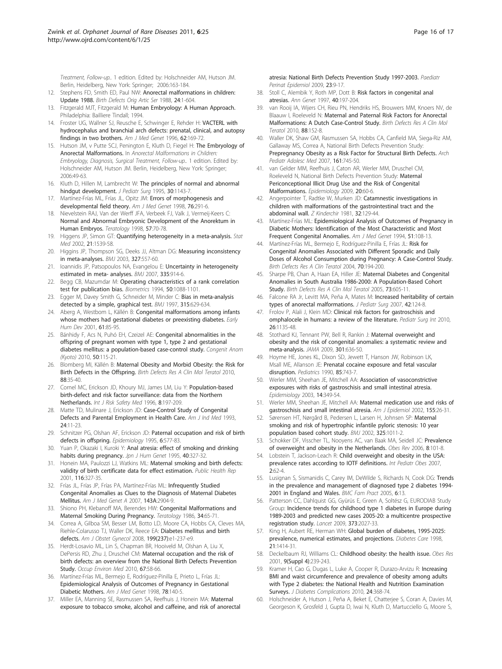<span id="page-15-0"></span>Treatment, Follow-up.. 1 edition. Edited by: Holschneider AM, Hutson JM. Berlin, Heidelberg, New York: Springer; 2006:163-184.

- 12. Stephens FD, Smith ED, Paul NW: [Anorectal malformations in children:](http://www.ncbi.nlm.nih.gov/pubmed/3248222?dopt=Abstract) [Update 1988.](http://www.ncbi.nlm.nih.gov/pubmed/3248222?dopt=Abstract) Birth Defects Orig Artic Ser 1988, 24:1-604.
- 13. Fitzgerald MJT, Fitzgerald M: Human Embryology: A Human Approach. Philadelphia: Bailliere Tindall; 1994.
- 14. Froster UG, Wallner SJ, Reusche E, Schwinger E, Rehder H: [VACTERL with](http://www.ncbi.nlm.nih.gov/pubmed/8882398?dopt=Abstract) [hydrocephalus and branchial arch defects: prenatal, clinical, and autopsy](http://www.ncbi.nlm.nih.gov/pubmed/8882398?dopt=Abstract) [findings in two brothers.](http://www.ncbi.nlm.nih.gov/pubmed/8882398?dopt=Abstract) Am J Med Genet 1996, 62:169-72.
- 15. Hutson JM, v Putte SCJ, Penington E, Kluth D, Fiegel H: The Embryology of Anorectal Malformations. In Anorectal Malformations in Children: Embryology, Diagnosis, Surgical Treatment, Follow-up.. 1 edition. Edited by: Holschneider AM, Hutson JM. Berlin, Heidelberg, New York: Springer; 2006:49-63.
- 16. Kluth D, Hillen M, Lambrecht W: [The principles of normal and abnormal](http://www.ncbi.nlm.nih.gov/pubmed/7472968?dopt=Abstract) [hindgut development.](http://www.ncbi.nlm.nih.gov/pubmed/7472968?dopt=Abstract) J Pediatr Surg 1995, 30:1143-7.
- 17. Martínez-Frías ML, Frías JL, Opitz JM: [Errors of morphogenesis and](http://www.ncbi.nlm.nih.gov/pubmed/9545092?dopt=Abstract) [developmental field theory.](http://www.ncbi.nlm.nih.gov/pubmed/9545092?dopt=Abstract) Am J Med Genet 1998, 76:291-6.
- 18. Nievelstein RAJ, Van der Werff JFA, Verbeek FJ, Valk J, Vermeij-Keers C: [Normal and Abnormal Embryonic Development of the Anorektum in](http://www.ncbi.nlm.nih.gov/pubmed/9562679?dopt=Abstract) [Human Embryos.](http://www.ncbi.nlm.nih.gov/pubmed/9562679?dopt=Abstract) Teratology 1998, 57:70-78.
- 19. Higgens JP, Simon GT: [Quantifying heterogeneity in a meta-analysis.](http://www.ncbi.nlm.nih.gov/pubmed/12111919?dopt=Abstract) Stat Med 2002 21:1539-58.
- 20. Higgins JP, Thompson SG, Deeks JJ, Altman DG: [Measuring inconsistency](http://www.ncbi.nlm.nih.gov/pubmed/12958120?dopt=Abstract) [in meta-analyses.](http://www.ncbi.nlm.nih.gov/pubmed/12958120?dopt=Abstract) BMJ 2003, 327:557-60.
- 21. Ioannidis JP, Patsopoulos NA, Evangelou E: [Uncertainty in heterogeneity](http://www.ncbi.nlm.nih.gov/pubmed/17974687?dopt=Abstract) [estimated in meta- analyses.](http://www.ncbi.nlm.nih.gov/pubmed/17974687?dopt=Abstract) BMJ 2007, 335:914-6.
- 22. Begg CB, Mazumdar M: [Operating characteristics of a rank correlation](http://www.ncbi.nlm.nih.gov/pubmed/7786990?dopt=Abstract) [test for publication bias.](http://www.ncbi.nlm.nih.gov/pubmed/7786990?dopt=Abstract) Biometrics 1994, 50:1088-1101.
- 23. Egger M, Davey Smith G, Schneider M, Minder C: [Bias in meta-analysis](http://www.ncbi.nlm.nih.gov/pubmed/9310563?dopt=Abstract) [detected by a simple, graphical test.](http://www.ncbi.nlm.nih.gov/pubmed/9310563?dopt=Abstract) BMJ 1997, 315:629-634.
- 24. Aberg A, Westbom L, Källén B: [Congenital malformations among infants](http://www.ncbi.nlm.nih.gov/pubmed/11223271?dopt=Abstract) [whose mothers had gestational diabetes or preexisting diabetes.](http://www.ncbi.nlm.nih.gov/pubmed/11223271?dopt=Abstract) Early Hum Dev 2001, 61:85-95.
- 25. Bánhidy F, Acs N, Puhó EH, Czeizel AE: Congenital abnormalities in the offspring of pregnant women with type 1, type 2 and gestational diabetes mellitus: a population-based case-control study. Congenit Anom (Kyoto) 2010, 50:115-21.
- 26. Blomberg MI, Källén B: [Maternal Obesity and Morbid Obesity: the Risk for](http://www.ncbi.nlm.nih.gov/pubmed/19711433?dopt=Abstract) [Birth Defects in the Offspring.](http://www.ncbi.nlm.nih.gov/pubmed/19711433?dopt=Abstract) Birth Defects Res A Clin Mol Teratol 2010, 88:35-40.
- 27. Cornel MC, Erickson JD, Khoury MJ, James LM, Liu Y: Population-based birth-defect and risk factor surveillance: data from the Northern Netherlands. Int J Risk Safety Med 1996, 8:197-209.
- 28. Matte TD, Mulinare J, Erickson JD: [Case-Control Study of Congenital](http://www.ncbi.nlm.nih.gov/pubmed/8352290?dopt=Abstract) [Defects and Parental Employment in Health Care.](http://www.ncbi.nlm.nih.gov/pubmed/8352290?dopt=Abstract) Am J Ind Med 1993, 24:11-23.
- 29. Schnitzer PG, Olshan AF, Erickson JD: [Paternal occupation and risk of birth](http://www.ncbi.nlm.nih.gov/pubmed/8589087?dopt=Abstract) [defects in offspring.](http://www.ncbi.nlm.nih.gov/pubmed/8589087?dopt=Abstract) Epidemiology 1995, 6:577-83.
- 30. Yuan P, Okazaki I, Kuroki Y: [Anal atresia: effect of smoking and drinking](http://www.ncbi.nlm.nih.gov/pubmed/8851766?dopt=Abstract) [habits during pregnancy.](http://www.ncbi.nlm.nih.gov/pubmed/8851766?dopt=Abstract) Jpn J Hum Genet 1995, 40:327-32.
- 31. Honein MA, Paulozzi LJ, Watkins ML: [Maternal smoking and birth defects:](http://www.ncbi.nlm.nih.gov/pubmed/12037261?dopt=Abstract) [validity of birth certificate data for effect estimation.](http://www.ncbi.nlm.nih.gov/pubmed/12037261?dopt=Abstract) Public Health Rep 2001, 116:327-35.
- 32. Frías JL, Frías JP, Frías PA, Martínez-Frías ML: [Infrequently Studied](http://www.ncbi.nlm.nih.gov/pubmed/18000913?dopt=Abstract) [Congenital Anomalies as Clues to the Diagnosis of Maternal Diabetes](http://www.ncbi.nlm.nih.gov/pubmed/18000913?dopt=Abstract) [Mellitus.](http://www.ncbi.nlm.nih.gov/pubmed/18000913?dopt=Abstract) Am J Med Genet A 2007, 143A:2904-9.
- 33. Shiono PH, Klebanoff MA, Berendes HW: [Congenital Malformations and](http://www.ncbi.nlm.nih.gov/pubmed/3764779?dopt=Abstract) [Maternal Smoking During Pregnancy.](http://www.ncbi.nlm.nih.gov/pubmed/3764779?dopt=Abstract) Teratology 1986, 34:65-71.
- 34. Correa A, Gilboa SM, Besser LM, Botto LD, Moore CA, Hobbs CA, Cleves MA, Riehle-Colarusso TJ, Waller DK, Reece EA: [Diabetes mellitus and birth](http://www.ncbi.nlm.nih.gov/pubmed/19084104?dopt=Abstract) [defects.](http://www.ncbi.nlm.nih.gov/pubmed/19084104?dopt=Abstract) Am J Obstet Gynecol 2008, 199(237):e1-237-e9.
- 35. Herdt-Losavio ML, Lin S, Chapman BR, Hooiveld M, Olshan A, Liu X, DePersis RD, Zhu J, Druschel CM: [Maternal occupation and the risk of](http://www.ncbi.nlm.nih.gov/pubmed/20029025?dopt=Abstract) [birth defects: an overview from the National Birth Defects Prevention](http://www.ncbi.nlm.nih.gov/pubmed/20029025?dopt=Abstract) [Study.](http://www.ncbi.nlm.nih.gov/pubmed/20029025?dopt=Abstract) Occup Environ Med 2010, 67:58-66.
- 36. Martínez-Frías ML, Bermejo E, Rodríguez-Pinilla E, Prieto L, Frías JL: [Epidemiological Analysis of Outcomes of Pregnancy in Gestational](http://www.ncbi.nlm.nih.gov/pubmed/9674904?dopt=Abstract) [Diabetic Mothers.](http://www.ncbi.nlm.nih.gov/pubmed/9674904?dopt=Abstract) Am J Med Genet 1998, 78:140-5.
- 37. Miller EA, Manning SE, Rasmussen SA, Reefhuis J, Honein MA: [Maternal](http://www.ncbi.nlm.nih.gov/pubmed/19228309?dopt=Abstract) [exposure to tobacco smoke, alcohol and caffeine, and risk of anorectal](http://www.ncbi.nlm.nih.gov/pubmed/19228309?dopt=Abstract)

[atresia: National Birth Defects Prevention Study 1997-2003.](http://www.ncbi.nlm.nih.gov/pubmed/19228309?dopt=Abstract) Paediatr Perinat Epidemiol 2009, 23:9-17.

- 38. Stoll C, Alembik Y, Roth MP, Dott B: [Risk factors in congenital anal](http://www.ncbi.nlm.nih.gov/pubmed/9526612?dopt=Abstract) [atresias.](http://www.ncbi.nlm.nih.gov/pubmed/9526612?dopt=Abstract) Ann Genet 1997, 40:197-204.
- 39. van Rooij IA, Wijers CH, Rieu PN, Hendriks HS, Brouwers MM, Knoers NV, de Blaauw I, Roeleveld N: [Maternal and Paternal Risk Factors for Anorectal](http://www.ncbi.nlm.nih.gov/pubmed/20073076?dopt=Abstract) [Malformations: A Dutch Case-Control Study.](http://www.ncbi.nlm.nih.gov/pubmed/20073076?dopt=Abstract) Birth Defects Res A Clin Mol Teratol 2010, 88:152-8.
- 40. Waller DK, Shaw GM, Rasmussen SA, Hobbs CA, Canfield MA, Siega-Riz AM, Gallaway MS, Correa A, National Birth Defects Prevention Study: [Prepregnancy Obesity as a Risk Factor for Structural Birth Defects.](http://www.ncbi.nlm.nih.gov/pubmed/17679655?dopt=Abstract) Arch Pediatr Adolesc Med 2007, 161:745-50.
- 41. van Gelder MM, Reefhuis J, Caton AR, Werler MM, Druschel CM, Roeleveld N, National Birth Defects Prevention Study: [Maternal](http://www.ncbi.nlm.nih.gov/pubmed/19057385?dopt=Abstract) [Periconceptional Illicit Drug Use and the Risk of Congenital](http://www.ncbi.nlm.nih.gov/pubmed/19057385?dopt=Abstract) [Malformations.](http://www.ncbi.nlm.nih.gov/pubmed/19057385?dopt=Abstract) Epidemiology 2009, 20:60-6.
- 42. Angerpointer T, Radtke W, Murken JD: [Catamnestic investigations in](http://www.ncbi.nlm.nih.gov/pubmed/6456621?dopt=Abstract) [children with malformations of the gastrointestinal tract and the](http://www.ncbi.nlm.nih.gov/pubmed/6456621?dopt=Abstract) [abdominal wall.](http://www.ncbi.nlm.nih.gov/pubmed/6456621?dopt=Abstract) Z Kinderchir 1981, 32:129-44.
- 43. Martínez-Frías ML: [Epidemiological Analysis of Outcomes of Pregnancy in](http://www.ncbi.nlm.nih.gov/pubmed/8092185?dopt=Abstract) [Diabetic Mothers: Identification of the Most Characteristic and Most](http://www.ncbi.nlm.nih.gov/pubmed/8092185?dopt=Abstract) [Frequent Congenital Anomalies.](http://www.ncbi.nlm.nih.gov/pubmed/8092185?dopt=Abstract) Am J Med Genet 1994, 51:108-13.
- 44. Martínez-Frías ML, Bermejo E, Rodríguez-Pinilla E, Frías JL: Risk for Congenital Anomalies Associated with Different Sporadic and Daily Doses of Alcohol Consumption during Pregnancy: A Case-Control Study. Birth Defects Res A Clin Teratol 2004, 70:194-200.
- 45. Sharpe PB, Chan A, Haan EA, Hiller JE: [Maternal Diabetes and Congenital](http://www.ncbi.nlm.nih.gov/pubmed/16007590?dopt=Abstract) [Anomalies in South Australia 1986-2000: A Population-Based Cohort](http://www.ncbi.nlm.nih.gov/pubmed/16007590?dopt=Abstract) [Study.](http://www.ncbi.nlm.nih.gov/pubmed/16007590?dopt=Abstract) Birth Defects Res A Clin Mol Teratol 2005, 73:605-11.
- 46. Falcone RA Jr, Levitt MA, Peña A, Mates M: [Increased heritability of certain](http://www.ncbi.nlm.nih.gov/pubmed/17208552?dopt=Abstract) [types of anorectal malformations.](http://www.ncbi.nlm.nih.gov/pubmed/17208552?dopt=Abstract) J Pediatr Surg 2007, 42:124-8.
- Frolov P, Alali J, Klein MD: [Clinical risk factors for gastroschisis and](http://www.ncbi.nlm.nih.gov/pubmed/20809116?dopt=Abstract) [omphalocele in humans: a review of the literature.](http://www.ncbi.nlm.nih.gov/pubmed/20809116?dopt=Abstract) Pediatr Surg Int 2010, 26:1135-48.
- 48. Stothard KJ, Tennant PW, Bell R, Rankin J: [Maternal overweight and](http://www.ncbi.nlm.nih.gov/pubmed/19211471?dopt=Abstract) [obesity and the risk of congenital anomalies: a systematic review and](http://www.ncbi.nlm.nih.gov/pubmed/19211471?dopt=Abstract) [meta-analysis.](http://www.ncbi.nlm.nih.gov/pubmed/19211471?dopt=Abstract) JAMA 2009, 301:636-50.
- 49. Hoyme HE, Jones KL, Dixon SD, Jewett T, Hanson JW, Robinson LK, Msall ME, Allanson JE: [Prenatal cocaine exposure and fetal vascular](http://www.ncbi.nlm.nih.gov/pubmed/2330234?dopt=Abstract) [disruption.](http://www.ncbi.nlm.nih.gov/pubmed/2330234?dopt=Abstract) Pediatrics 1990, 85:743-7.
- 50. Werler MM, Sheehan JE, Mitchell AA: [Association of vasoconstrictive](http://www.ncbi.nlm.nih.gov/pubmed/12859037?dopt=Abstract) [exposures with risks of gastroschisis and small intestinal atresia.](http://www.ncbi.nlm.nih.gov/pubmed/12859037?dopt=Abstract) Epidemiology 2003, 14:349-54.
- 51. Werler MM, Sheehan JE, Mitchell AA: [Maternal medication use and risks of](http://www.ncbi.nlm.nih.gov/pubmed/11772781?dopt=Abstract) [gastroschisis and small intestinal atresia.](http://www.ncbi.nlm.nih.gov/pubmed/11772781?dopt=Abstract) Am J Epidemiol 2002, 155:26-31.
- 52. Sørensen HT, Nørgård B, Pedersen L, Larsen H, Johnsen SP: [Maternal](http://www.ncbi.nlm.nih.gov/pubmed/12411361?dopt=Abstract) [smoking and risk of hypertrophic infantile pyloric stenosis: 10 year](http://www.ncbi.nlm.nih.gov/pubmed/12411361?dopt=Abstract) [population based cohort study.](http://www.ncbi.nlm.nih.gov/pubmed/12411361?dopt=Abstract) BMJ 2002, 325:1011-2.
- Schokker DF, Visscher TL, Nooyens AC, van Baak MA, Seidell JC: Prevalence of overweight and obesity in the Netherlands. Obes Rev 2006, 8:101-8.
- 54. Lobstein T, Jackson-Leach R: Child overweight and obesity in the USA: prevalence rates according to IOTF definitions. Int Pediatr Obes 2007, 2:62-4.
- 55. Lusignan S, Sismanidis C, Carey IM, DeWilde S, Richards N, Cook DG: [Trends](http://www.ncbi.nlm.nih.gov/pubmed/15784133?dopt=Abstract) [in the prevalence and management of diagnosed type 2 diabetes 1994-](http://www.ncbi.nlm.nih.gov/pubmed/15784133?dopt=Abstract) [2001 in England and Wales.](http://www.ncbi.nlm.nih.gov/pubmed/15784133?dopt=Abstract) BMC Fam Pract 2005, 6:13.
- 56. Patterson CC, Dahlquist GG, Gyürüs E, Green A, Soltész G, EURODIAB Study Group: [Incidence trends for childhood type 1 diabetes in Europe during](http://www.ncbi.nlm.nih.gov/pubmed/19481249?dopt=Abstract) [1989-2003 and predicted new cases 2005-20: a multicentre prospective](http://www.ncbi.nlm.nih.gov/pubmed/19481249?dopt=Abstract) [registration study.](http://www.ncbi.nlm.nih.gov/pubmed/19481249?dopt=Abstract) Lancet 2009, 373:2027-33.
- 57. King H, Aubert RE, Herman WH: [Global burden of diabetes, 1995-2025:](http://www.ncbi.nlm.nih.gov/pubmed/9727886?dopt=Abstract) [prevalence, numerical estimates, and projections.](http://www.ncbi.nlm.nih.gov/pubmed/9727886?dopt=Abstract) Diabetes Care 1998, 21:1414-31.
- 58. Deckelbaum RJ, Williams CL: Childhood obesity: the health issue. Obes Res 2001, 9(Suppl 4):239-243.
- 59. Kramer H, Cao G, Dugas L, Luke A, Cooper R, Durazo-Arvizu R: [Increasing](http://www.ncbi.nlm.nih.gov/pubmed/19914095?dopt=Abstract) [BMI and waist circumference and prevalence of obesity among adults](http://www.ncbi.nlm.nih.gov/pubmed/19914095?dopt=Abstract) [with Type 2 diabetes: the National Health and Nutrition Examination](http://www.ncbi.nlm.nih.gov/pubmed/19914095?dopt=Abstract) [Surveys.](http://www.ncbi.nlm.nih.gov/pubmed/19914095?dopt=Abstract) J Diabetes Complications 2010, 24:368-74.
- 60. Holschneider A, Hutson J, Peña A, Beket E, Chatterjee S, Coran A, Davies M, Georgeson K, Grosfeld J, Gupta D, Iwai N, Kluth D, Martucciello G, Moore S,